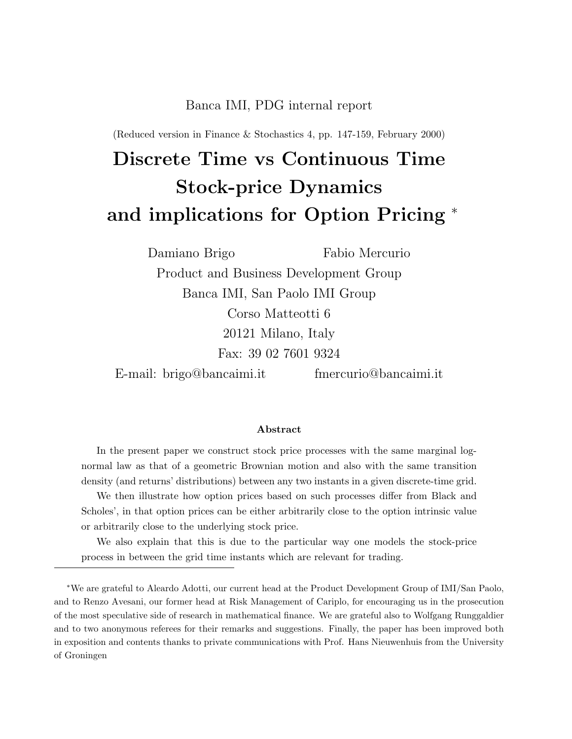#### Banca IMI, PDG internal report

(Reduced version in Finance & Stochastics 4, pp. 147-159, February 2000)

# Discrete Time vs Continuous Time Stock-price Dynamics and implications for Option Pricing <sup>∗</sup>

Damiano Brigo Fabio Mercurio Product and Business Development Group Banca IMI, San Paolo IMI Group Corso Matteotti 6 20121 Milano, Italy Fax: 39 02 7601 9324 E-mail: brigo@bancaimi.it fmercurio@bancaimi.it

#### Abstract

In the present paper we construct stock price processes with the same marginal lognormal law as that of a geometric Brownian motion and also with the same transition density (and returns' distributions) between any two instants in a given discrete-time grid.

We then illustrate how option prices based on such processes differ from Black and Scholes', in that option prices can be either arbitrarily close to the option intrinsic value or arbitrarily close to the underlying stock price.

We also explain that this is due to the particular way one models the stock-price process in between the grid time instants which are relevant for trading.

<sup>∗</sup>We are grateful to Aleardo Adotti, our current head at the Product Development Group of IMI/San Paolo, and to Renzo Avesani, our former head at Risk Management of Cariplo, for encouraging us in the prosecution of the most speculative side of research in mathematical finance. We are grateful also to Wolfgang Runggaldier and to two anonymous referees for their remarks and suggestions. Finally, the paper has been improved both in exposition and contents thanks to private communications with Prof. Hans Nieuwenhuis from the University of Groningen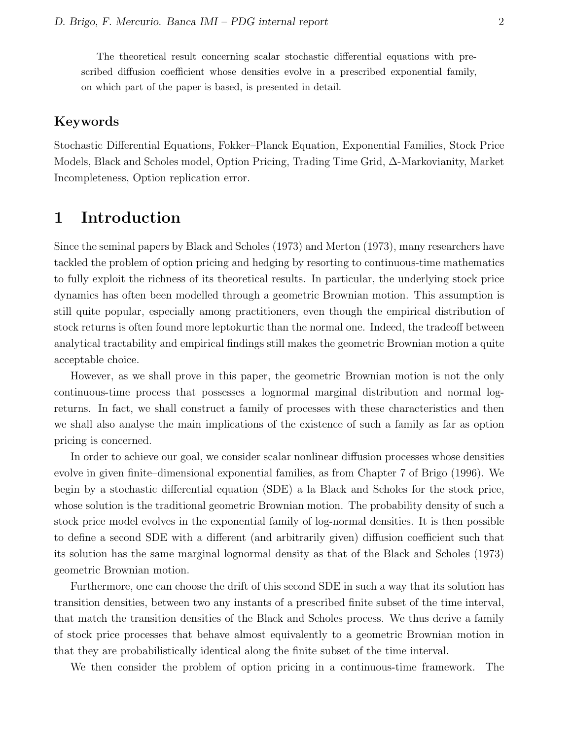The theoretical result concerning scalar stochastic differential equations with prescribed diffusion coefficient whose densities evolve in a prescribed exponential family, on which part of the paper is based, is presented in detail.

#### Keywords

Stochastic Differential Equations, Fokker–Planck Equation, Exponential Families, Stock Price Models, Black and Scholes model, Option Pricing, Trading Time Grid, ∆-Markovianity, Market Incompleteness, Option replication error.

### 1 Introduction

Since the seminal papers by Black and Scholes (1973) and Merton (1973), many researchers have tackled the problem of option pricing and hedging by resorting to continuous-time mathematics to fully exploit the richness of its theoretical results. In particular, the underlying stock price dynamics has often been modelled through a geometric Brownian motion. This assumption is still quite popular, especially among practitioners, even though the empirical distribution of stock returns is often found more leptokurtic than the normal one. Indeed, the tradeoff between analytical tractability and empirical findings still makes the geometric Brownian motion a quite acceptable choice.

However, as we shall prove in this paper, the geometric Brownian motion is not the only continuous-time process that possesses a lognormal marginal distribution and normal logreturns. In fact, we shall construct a family of processes with these characteristics and then we shall also analyse the main implications of the existence of such a family as far as option pricing is concerned.

In order to achieve our goal, we consider scalar nonlinear diffusion processes whose densities evolve in given finite–dimensional exponential families, as from Chapter 7 of Brigo (1996). We begin by a stochastic differential equation (SDE) a la Black and Scholes for the stock price, whose solution is the traditional geometric Brownian motion. The probability density of such a stock price model evolves in the exponential family of log-normal densities. It is then possible to define a second SDE with a different (and arbitrarily given) diffusion coefficient such that its solution has the same marginal lognormal density as that of the Black and Scholes (1973) geometric Brownian motion.

Furthermore, one can choose the drift of this second SDE in such a way that its solution has transition densities, between two any instants of a prescribed finite subset of the time interval, that match the transition densities of the Black and Scholes process. We thus derive a family of stock price processes that behave almost equivalently to a geometric Brownian motion in that they are probabilistically identical along the finite subset of the time interval.

We then consider the problem of option pricing in a continuous-time framework. The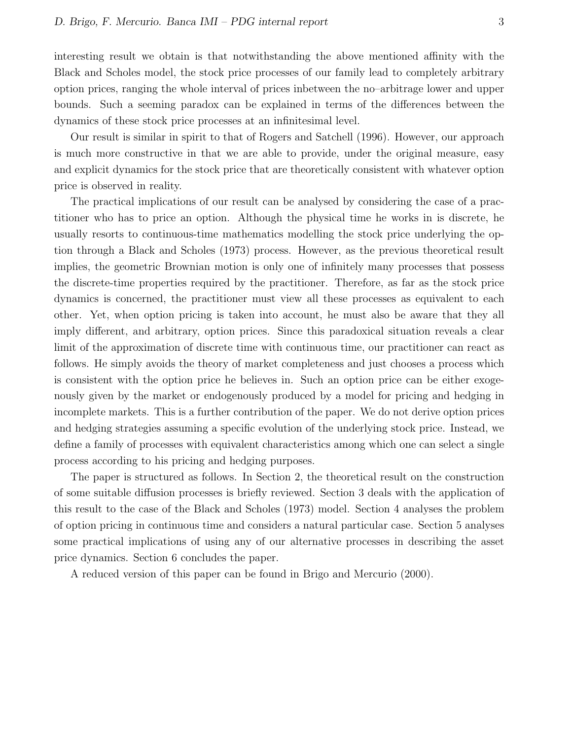interesting result we obtain is that notwithstanding the above mentioned affinity with the Black and Scholes model, the stock price processes of our family lead to completely arbitrary option prices, ranging the whole interval of prices inbetween the no–arbitrage lower and upper bounds. Such a seeming paradox can be explained in terms of the differences between the dynamics of these stock price processes at an infinitesimal level.

Our result is similar in spirit to that of Rogers and Satchell (1996). However, our approach is much more constructive in that we are able to provide, under the original measure, easy and explicit dynamics for the stock price that are theoretically consistent with whatever option price is observed in reality.

The practical implications of our result can be analysed by considering the case of a practitioner who has to price an option. Although the physical time he works in is discrete, he usually resorts to continuous-time mathematics modelling the stock price underlying the option through a Black and Scholes (1973) process. However, as the previous theoretical result implies, the geometric Brownian motion is only one of infinitely many processes that possess the discrete-time properties required by the practitioner. Therefore, as far as the stock price dynamics is concerned, the practitioner must view all these processes as equivalent to each other. Yet, when option pricing is taken into account, he must also be aware that they all imply different, and arbitrary, option prices. Since this paradoxical situation reveals a clear limit of the approximation of discrete time with continuous time, our practitioner can react as follows. He simply avoids the theory of market completeness and just chooses a process which is consistent with the option price he believes in. Such an option price can be either exogenously given by the market or endogenously produced by a model for pricing and hedging in incomplete markets. This is a further contribution of the paper. We do not derive option prices and hedging strategies assuming a specific evolution of the underlying stock price. Instead, we define a family of processes with equivalent characteristics among which one can select a single process according to his pricing and hedging purposes.

The paper is structured as follows. In Section 2, the theoretical result on the construction of some suitable diffusion processes is briefly reviewed. Section 3 deals with the application of this result to the case of the Black and Scholes (1973) model. Section 4 analyses the problem of option pricing in continuous time and considers a natural particular case. Section 5 analyses some practical implications of using any of our alternative processes in describing the asset price dynamics. Section 6 concludes the paper.

A reduced version of this paper can be found in Brigo and Mercurio (2000).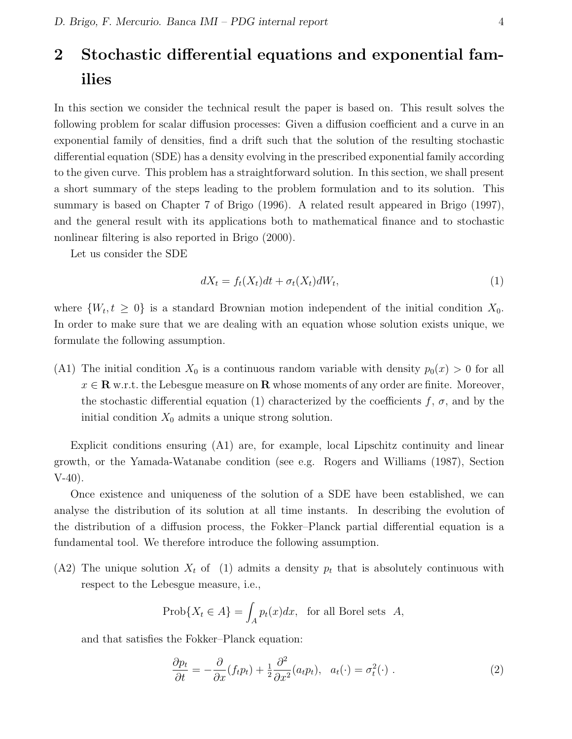## 2 Stochastic differential equations and exponential families

In this section we consider the technical result the paper is based on. This result solves the following problem for scalar diffusion processes: Given a diffusion coefficient and a curve in an exponential family of densities, find a drift such that the solution of the resulting stochastic differential equation (SDE) has a density evolving in the prescribed exponential family according to the given curve. This problem has a straightforward solution. In this section, we shall present a short summary of the steps leading to the problem formulation and to its solution. This summary is based on Chapter 7 of Brigo (1996). A related result appeared in Brigo (1997), and the general result with its applications both to mathematical finance and to stochastic nonlinear filtering is also reported in Brigo (2000).

Let us consider the SDE

$$
dX_t = f_t(X_t)dt + \sigma_t(X_t)dW_t,
$$
\n(1)

where  $\{W_t, t \geq 0\}$  is a standard Brownian motion independent of the initial condition  $X_0$ . In order to make sure that we are dealing with an equation whose solution exists unique, we formulate the following assumption.

(A1) The initial condition  $X_0$  is a continuous random variable with density  $p_0(x) > 0$  for all  $x \in \mathbf{R}$  w.r.t. the Lebesgue measure on  $\mathbf{R}$  whose moments of any order are finite. Moreover, the stochastic differential equation (1) characterized by the coefficients f,  $\sigma$ , and by the initial condition  $X_0$  admits a unique strong solution.

Explicit conditions ensuring (A1) are, for example, local Lipschitz continuity and linear growth, or the Yamada-Watanabe condition (see e.g. Rogers and Williams (1987), Section V-40).

Once existence and uniqueness of the solution of a SDE have been established, we can analyse the distribution of its solution at all time instants. In describing the evolution of the distribution of a diffusion process, the Fokker–Planck partial differential equation is a fundamental tool. We therefore introduce the following assumption.

(A2) The unique solution  $X_t$  of (1) admits a density  $p_t$  that is absolutely continuous with respect to the Lebesgue measure, i.e.,

$$
\text{Prob}\{X_t \in A\} = \int_A p_t(x)dx, \text{ for all Borel sets } A,
$$

and that satisfies the Fokker–Planck equation:

$$
\frac{\partial p_t}{\partial t} = -\frac{\partial}{\partial x}(f_t p_t) + \frac{1}{2} \frac{\partial^2}{\partial x^2}(a_t p_t), \ \ a_t(\cdot) = \sigma_t^2(\cdot) \ . \tag{2}
$$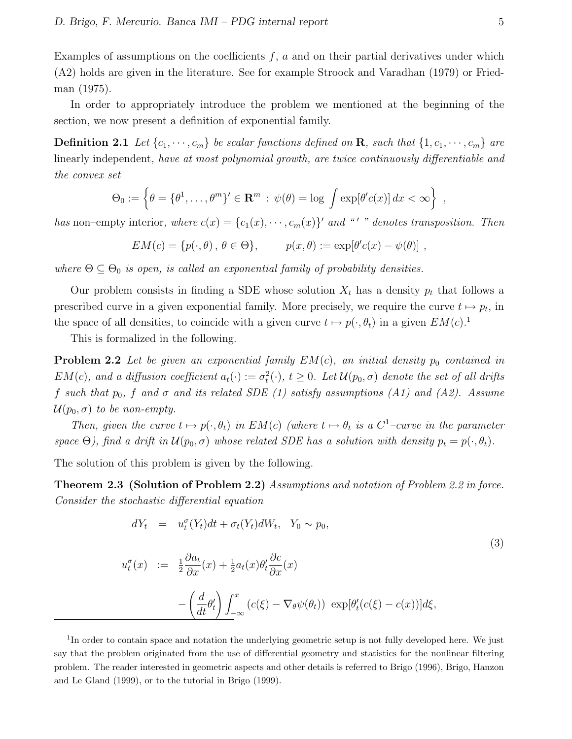Examples of assumptions on the coefficients  $f, a$  and on their partial derivatives under which (A2) holds are given in the literature. See for example Stroock and Varadhan (1979) or Friedman (1975).

In order to appropriately introduce the problem we mentioned at the beginning of the section, we now present a definition of exponential family.

**Definition 2.1** Let  $\{c_1, \dots, c_m\}$  be scalar functions defined on **R**, such that  $\{1, c_1, \dots, c_m\}$  are linearly independent, have at most polynomial growth, are twice continuously differentiable and the convex set

$$
\Theta_0 := \left\{ \theta = \{\theta^1, \dots, \theta^m\}' \in \mathbf{R}^m : \psi(\theta) = \log \int \exp[\theta' c(x)] dx < \infty \right\},\
$$

has non–empty interior, where  $c(x) = \{c_1(x), \dots, c_m(x)\}$  and "  $'$  " denotes transposition. Then

$$
EM(c) = \{p(\cdot, \theta), \theta \in \Theta\},
$$
  $p(x, \theta) := \exp[\theta' c(x) - \psi(\theta)],$ 

where  $\Theta \subseteq \Theta_0$  is open, is called an exponential family of probability densities.

Our problem consists in finding a SDE whose solution  $X_t$  has a density  $p_t$  that follows a prescribed curve in a given exponential family. More precisely, we require the curve  $t \mapsto p_t$ , in the space of all densities, to coincide with a given curve  $t \mapsto p(\cdot, \theta_t)$  in a given  $EM(c)$ .<sup>1</sup>

This is formalized in the following.

**Problem 2.2** Let be given an exponential family  $EM(c)$ , an initial density  $p_0$  contained in  $EM(c)$ , and a diffusion coefficient  $a_t(\cdot) := \sigma_t^2(\cdot)$ ,  $t \geq 0$ . Let  $\mathcal{U}(p_0, \sigma)$  denote the set of all drifts f such that  $p_0$ , f and  $\sigma$  and its related SDE (1) satisfy assumptions (A1) and (A2). Assume  $\mathcal{U}(p_0,\sigma)$  to be non-empty.

Then, given the curve  $t \mapsto p(\cdot, \theta_t)$  in  $EM(c)$  (where  $t \mapsto \theta_t$  is a  $C^1$ -curve in the parameter space  $\Theta$ ), find a drift in  $\mathcal{U}(p_0, \sigma)$  whose related SDE has a solution with density  $p_t = p(\cdot, \theta_t)$ .

The solution of this problem is given by the following.

Theorem 2.3 (Solution of Problem 2.2) Assumptions and notation of Problem 2.2 in force. Consider the stochastic differential equation

$$
dY_t = u_t^{\sigma}(Y_t)dt + \sigma_t(Y_t)dW_t, \quad Y_0 \sim p_0,
$$
  
\n
$$
u_t^{\sigma}(x) := \frac{1}{2}\frac{\partial a_t}{\partial x}(x) + \frac{1}{2}a_t(x)\theta_t'\frac{\partial c}{\partial x}(x)
$$
  
\n
$$
-\left(\frac{d}{dt}\theta_t'\right)\int_{-\infty}^x \left(c(\xi) - \nabla_{\theta}\psi(\theta_t)\right) \exp[\theta_t'(c(\xi) - c(x))]d\xi,
$$
\n(3)

<sup>1</sup>In order to contain space and notation the underlying geometric setup is not fully developed here. We just say that the problem originated from the use of differential geometry and statistics for the nonlinear filtering problem. The reader interested in geometric aspects and other details is referred to Brigo (1996), Brigo, Hanzon and Le Gland (1999), or to the tutorial in Brigo (1999).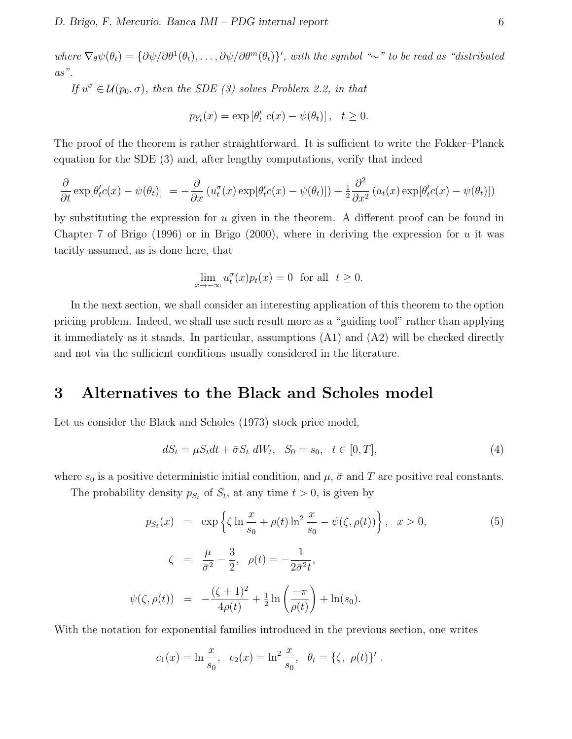where  $\nabla_{\theta} \psi(\theta_t) = {\partial \psi / \partial \theta^1(\theta_t), \dots, \partial \psi / \partial \theta^m(\theta_t)}'$ , with the symbol "∼" to be read as "distributed  $as$ ".

If  $u^{\sigma} \in \mathcal{U}(p_0, \sigma)$ , then the SDE (3) solves Problem 2.2, in that

$$
p_{Y_t}(x) = \exp\left[\theta'_t \ c(x) - \psi(\theta_t)\right], \quad t \ge 0.
$$

The proof of the theorem is rather straightforward. It is sufficient to write the Fokker–Planck equation for the SDE (3) and, after lengthy computations, verify that indeed

$$
\frac{\partial}{\partial t} \exp[\theta'_t c(x) - \psi(\theta_t)] = -\frac{\partial}{\partial x} \left( u_t^{\sigma}(x) \exp[\theta'_t c(x) - \psi(\theta_t)] \right) + \frac{1}{2} \frac{\partial^2}{\partial x^2} \left( a_t(x) \exp[\theta'_t c(x) - \psi(\theta_t)] \right)
$$

by substituting the expression for u given in the theorem. A different proof can be found in Chapter 7 of Brigo (1996) or in Brigo (2000), where in deriving the expression for u it was tacitly assumed, as is done here, that

$$
\lim_{x \to -\infty} u_t^{\sigma}(x) p_t(x) = 0 \text{ for all } t \ge 0.
$$

In the next section, we shall consider an interesting application of this theorem to the option pricing problem. Indeed, we shall use such result more as a "guiding tool" rather than applying it immediately as it stands. In particular, assumptions (A1) and (A2) will be checked directly and not via the sufficient conditions usually considered in the literature.

### 3 Alternatives to the Black and Scholes model

Let us consider the Black and Scholes (1973) stock price model,

$$
dS_t = \mu S_t dt + \bar{\sigma} S_t dW_t, \quad S_0 = s_0, \quad t \in [0, T], \tag{4}
$$

where  $s_0$  is a positive deterministic initial condition, and  $\mu$ ,  $\bar{\sigma}$  and T are positive real constants.

The probability density  $p_{S_t}$  of  $S_t$ , at any time  $t > 0$ , is given by

$$
p_{S_t}(x) = \exp\left\{\zeta \ln \frac{x}{s_0} + \rho(t) \ln^2 \frac{x}{s_0} - \psi(\zeta, \rho(t))\right\}, \quad x > 0,
$$
\n
$$
\zeta = \frac{\mu}{\bar{\sigma}^2} - \frac{3}{2}, \quad \rho(t) = -\frac{1}{2\bar{\sigma}^2 t},
$$
\n
$$
\psi(\zeta, \rho(t)) = -\frac{(\zeta + 1)^2}{4\rho(t)} + \frac{1}{2} \ln\left(\frac{-\pi}{\rho(t)}\right) + \ln(s_0).
$$
\n(5)

With the notation for exponential families introduced in the previous section, one writes

$$
c_1(x) = \ln \frac{x}{s_0}, \quad c_2(x) = \ln^2 \frac{x}{s_0}, \quad \theta_t = \{\zeta, \ \rho(t)\}'.
$$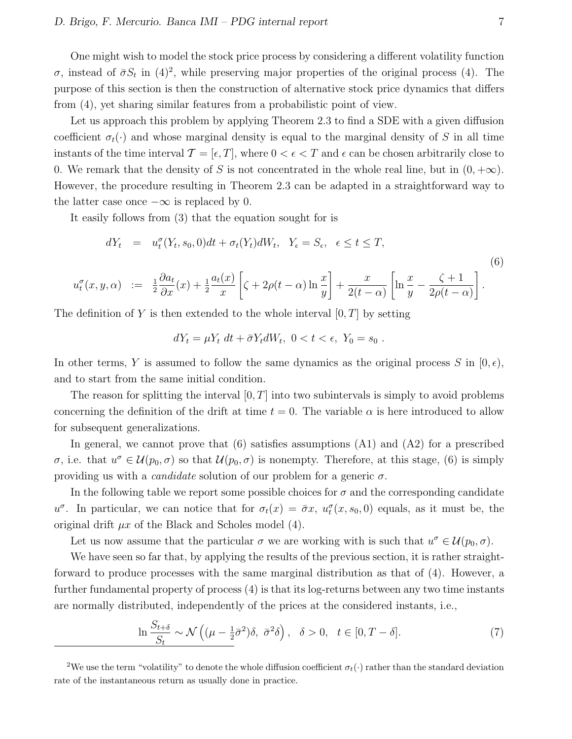One might wish to model the stock price process by considering a different volatility function σ, instead of  $\bar{\sigma}S_t$  in (4)<sup>2</sup>, while preserving major properties of the original process (4). The purpose of this section is then the construction of alternative stock price dynamics that differs from (4), yet sharing similar features from a probabilistic point of view.

Let us approach this problem by applying Theorem 2.3 to find a SDE with a given diffusion coefficient  $\sigma_t(\cdot)$  and whose marginal density is equal to the marginal density of S in all time instants of the time interval  $\mathcal{T} = [\epsilon, T]$ , where  $0 < \epsilon < T$  and  $\epsilon$  can be chosen arbitrarily close to 0. We remark that the density of S is not concentrated in the whole real line, but in  $(0, +\infty)$ . However, the procedure resulting in Theorem 2.3 can be adapted in a straightforward way to the latter case once  $-\infty$  is replaced by 0.

It easily follows from (3) that the equation sought for is

$$
dY_t = u_t^{\sigma}(Y_t, s_0, 0)dt + \sigma_t(Y_t)dW_t, \quad Y_{\epsilon} = S_{\epsilon}, \quad \epsilon \le t \le T,
$$
  

$$
u_t^{\sigma}(x, y, \alpha) := \frac{1}{2}\frac{\partial a_t}{\partial x}(x) + \frac{1}{2}\frac{a_t(x)}{x}\left[\zeta + 2\rho(t - \alpha)\ln\frac{x}{y}\right] + \frac{x}{2(t - \alpha)}\left[\ln\frac{x}{y} - \frac{\zeta + 1}{2\rho(t - \alpha)}\right].
$$
  
(6)

The definition of Y is then extended to the whole interval  $[0, T]$  by setting

$$
dY_t = \mu Y_t \ dt + \bar{\sigma} Y_t dW_t, \ 0 < t < \epsilon, \ Y_0 = s_0 \ .
$$

In other terms, Y is assumed to follow the same dynamics as the original process S in  $[0, \epsilon)$ , and to start from the same initial condition.

The reason for splitting the interval  $[0, T]$  into two subintervals is simply to avoid problems concerning the definition of the drift at time  $t = 0$ . The variable  $\alpha$  is here introduced to allow for subsequent generalizations.

In general, we cannot prove that  $(6)$  satisfies assumptions  $(A1)$  and  $(A2)$  for a prescribed σ, i.e. that  $u^{\sigma} \in \mathcal{U}(p_0, \sigma)$  so that  $\mathcal{U}(p_0, \sigma)$  is nonempty. Therefore, at this stage, (6) is simply providing us with a *candidate* solution of our problem for a generic  $\sigma$ .

In the following table we report some possible choices for  $\sigma$  and the corresponding candidate  $u^{\sigma}$ . In particular, we can notice that for  $\sigma_t(x) = \bar{\sigma}x$ ,  $u_t^{\sigma}(x, s_0, 0)$  equals, as it must be, the original drift  $\mu x$  of the Black and Scholes model (4).

Let us now assume that the particular  $\sigma$  we are working with is such that  $u^{\sigma} \in \mathcal{U}(p_0, \sigma)$ .

We have seen so far that, by applying the results of the previous section, it is rather straightforward to produce processes with the same marginal distribution as that of (4). However, a further fundamental property of process (4) is that its log-returns between any two time instants are normally distributed, independently of the prices at the considered instants, i.e.,

$$
\ln \frac{S_{t+\delta}}{S_t} \sim \mathcal{N}\left( (\mu - \frac{1}{2}\bar{\sigma}^2)\delta, \ \bar{\sigma}^2\delta \right), \ \ \delta > 0, \ \ t \in [0, T - \delta]. \tag{7}
$$

<sup>2</sup>We use the term "volatility" to denote the whole diffusion coefficient  $\sigma_t(\cdot)$  rather than the standard deviation rate of the instantaneous return as usually done in practice.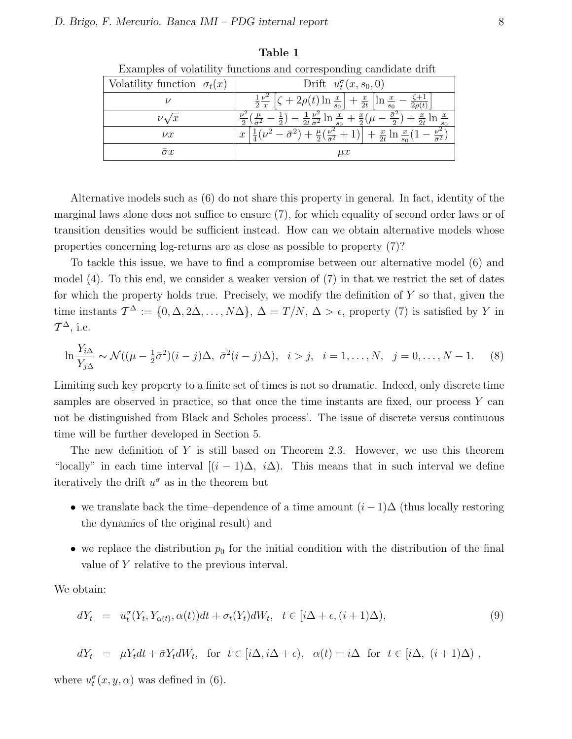| Volatility function $\sigma_t(x)$ | Drift $u_t^{\sigma}(x, s_0, 0)$                                                                                                     |
|-----------------------------------|-------------------------------------------------------------------------------------------------------------------------------------|
|                                   | $1 \nu^2$<br>$+\frac{x}{2t}$  ln<br>$\frac{x}{ }$<br>2x<br>$s_0$<br>$s_0$                                                           |
| $\nu \sqrt{x}$                    | $rac{1}{2t} \frac{\nu^2}{\bar{\sigma}^2} \ln$<br>$rac{x}{2t}$ ln<br>$s_0$                                                           |
| $\nu x$                           | $\frac{\mu}{2}(\frac{\nu^2}{\bar{\sigma}^2})$<br>$\frac{x}{2t}$ ln<br>$\boldsymbol{x}$<br>$\overline{\overline{\sigma}^2}$<br>$s_0$ |
| $\sigma x$                        | $\mu x$                                                                                                                             |

Table 1

Examples of volatility functions and corresponding candidate drift

Alternative models such as (6) do not share this property in general. In fact, identity of the marginal laws alone does not suffice to ensure (7), for which equality of second order laws or of transition densities would be sufficient instead. How can we obtain alternative models whose properties concerning log-returns are as close as possible to property (7)?

To tackle this issue, we have to find a compromise between our alternative model (6) and model (4). To this end, we consider a weaker version of (7) in that we restrict the set of dates for which the property holds true. Precisely, we modify the definition of  $Y$  so that, given the time instants  $\mathcal{T}^{\Delta} := \{0, \Delta, 2\Delta, \ldots, N\Delta\}, \Delta = T/N, \Delta > \epsilon$ , property (7) is satisfied by Y in  $\mathcal{T}^{\Delta}$ , i.e.

$$
\ln \frac{Y_{i\Delta}}{Y_{j\Delta}} \sim \mathcal{N}((\mu - \frac{1}{2}\bar{\sigma}^2)(i - j)\Delta, \ \bar{\sigma}^2(i - j)\Delta), \ \ i > j, \ \ i = 1, \dots, N, \ \ j = 0, \dots, N - 1. \tag{8}
$$

Limiting such key property to a finite set of times is not so dramatic. Indeed, only discrete time samples are observed in practice, so that once the time instants are fixed, our process  $Y$  can not be distinguished from Black and Scholes process'. The issue of discrete versus continuous time will be further developed in Section 5.

The new definition of  $Y$  is still based on Theorem 2.3. However, we use this theorem "locally" in each time interval  $[(i - 1)\Delta, i\Delta)$ . This means that in such interval we define iteratively the drift  $u^{\sigma}$  as in the theorem but

- we translate back the time–dependence of a time amount  $(i-1)\Delta$  (thus locally restoring the dynamics of the original result) and
- we replace the distribution  $p_0$  for the initial condition with the distribution of the final value of Y relative to the previous interval.

We obtain:

$$
dY_t = u_t^{\sigma}(Y_t, Y_{\alpha(t)}, \alpha(t))dt + \sigma_t(Y_t)dW_t, \quad t \in [i\Delta + \epsilon, (i+1)\Delta),
$$
\n
$$
(9)
$$

$$
dY_t = \mu Y_t dt + \bar{\sigma} Y_t dW_t, \text{ for } t \in [i\Delta, i\Delta + \epsilon), \ \alpha(t) = i\Delta \text{ for } t \in [i\Delta, (i+1)\Delta) ,
$$

where  $u_t^{\sigma}(x, y, \alpha)$  was defined in (6).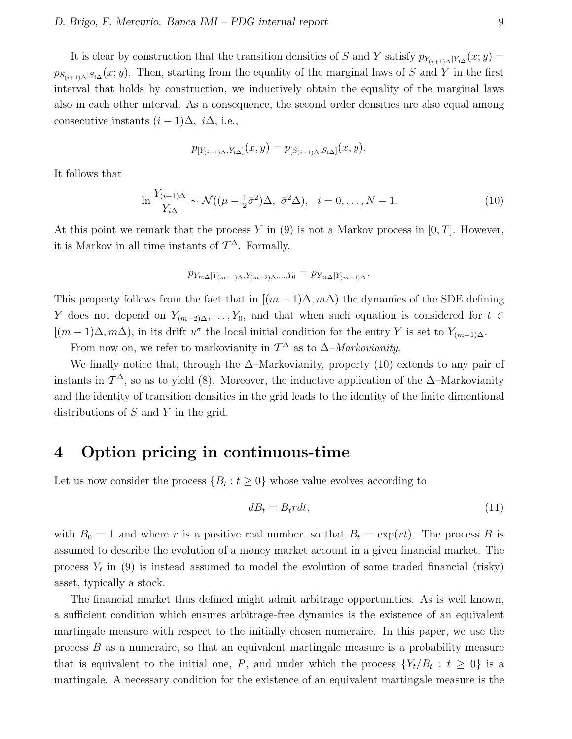#### D. Brigo, F. Mercurio. Banca IMI – PDG internal report 9

It is clear by construction that the transition densities of S and Y satisfy  $p_{Y_{(i+1)\Delta}|Y_{i\Delta}}(x; y) =$  $p_{S_{(i+1)\Delta}|S_{i\Delta}}(x; y)$ . Then, starting from the equality of the marginal laws of S and Y in the first interval that holds by construction, we inductively obtain the equality of the marginal laws also in each other interval. As a consequence, the second order densities are also equal among consecutive instants  $(i-1)\Delta$ ,  $i\Delta$ , i.e.,

$$
p_{[Y_{(i+1)\Delta}, Y_{i\Delta}]}(x, y) = p_{[S_{(i+1)\Delta}, S_{i\Delta}]}(x, y).
$$

It follows that

$$
\ln \frac{Y_{(i+1)\Delta}}{Y_{i\Delta}} \sim \mathcal{N}((\mu - \frac{1}{2}\bar{\sigma}^2)\Delta, \ \bar{\sigma}^2\Delta), \ \ i = 0, \dots, N - 1.
$$
 (10)

At this point we remark that the process Y in  $(9)$  is not a Markov process in  $[0, T]$ . However, it is Markov in all time instants of  $\mathcal{T}^{\Delta}$ . Formally,

$$
p_{Y_{m\Delta}|Y_{(m-1)\Delta},Y_{(m-2)\Delta},...,Y_0}=p_{Y_{m\Delta}|Y_{(m-1)\Delta}}.
$$

This property follows from the fact that in  $[(m-1)\Delta, m\Delta)$  the dynamics of the SDE defining Y does not depend on  $Y_{(m-2)\Delta}, \ldots, Y_0$ , and that when such equation is considered for  $t \in$  $[(m-1)\Delta, m\Delta)$ , in its drift  $u^{\sigma}$  the local initial condition for the entry Y is set to  $Y_{(m-1)\Delta}$ .

From now on, we refer to markovianity in  $\mathcal{T}^{\Delta}$  as to  $\Delta$ -Markovianity.

We finally notice that, through the  $\Delta$ –Markovianity, property (10) extends to any pair of instants in  $\mathcal{T}^{\Delta}$ , so as to yield (8). Moreover, the inductive application of the  $\Delta$ –Markovianity and the identity of transition densities in the grid leads to the identity of the finite dimentional distributions of S and Y in the grid.

### 4 Option pricing in continuous-time

Let us now consider the process  $\{B_t : t \geq 0\}$  whose value evolves according to

$$
dB_t = B_t r dt, \tag{11}
$$

with  $B_0 = 1$  and where r is a positive real number, so that  $B_t = \exp(rt)$ . The process B is assumed to describe the evolution of a money market account in a given financial market. The process  $Y_t$  in (9) is instead assumed to model the evolution of some traded financial (risky) asset, typically a stock.

The financial market thus defined might admit arbitrage opportunities. As is well known, a sufficient condition which ensures arbitrage-free dynamics is the existence of an equivalent martingale measure with respect to the initially chosen numeraire. In this paper, we use the process B as a numeraire, so that an equivalent martingale measure is a probability measure that is equivalent to the initial one, P, and under which the process  $\{Y_t/B_t : t \geq 0\}$  is a martingale. A necessary condition for the existence of an equivalent martingale measure is the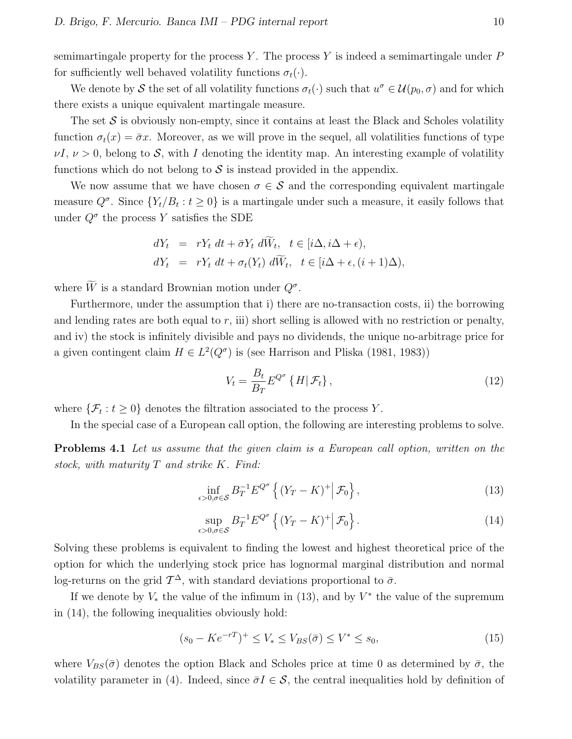semimartingale property for the process Y. The process Y is indeed a semimartingale under  $P$ for sufficiently well behaved volatility functions  $\sigma_t(\cdot)$ .

We denote by S the set of all volatility functions  $\sigma_t(\cdot)$  such that  $u^{\sigma} \in \mathcal{U}(p_0, \sigma)$  and for which there exists a unique equivalent martingale measure.

The set  $S$  is obviously non-empty, since it contains at least the Black and Scholes volatility function  $\sigma_t(x) = \bar{\sigma}x$ . Moreover, as we will prove in the sequel, all volatilities functions of type  $\nu I, \nu > 0$ , belong to S, with I denoting the identity map. An interesting example of volatility functions which do not belong to  $\mathcal S$  is instead provided in the appendix.

We now assume that we have chosen  $\sigma \in \mathcal{S}$  and the corresponding equivalent martingale measure  $Q^{\sigma}$ . Since  $\{Y_t/B_t : t \geq 0\}$  is a martingale under such a measure, it easily follows that under  $Q^{\sigma}$  the process Y satisfies the SDE

$$
dY_t = rY_t dt + \bar{\sigma} Y_t d\bar{W}_t, \quad t \in [i\Delta, i\Delta + \epsilon),
$$
  
\n
$$
dY_t = rY_t dt + \sigma_t(Y_t) d\bar{W}_t, \quad t \in [i\Delta + \epsilon, (i+1)\Delta),
$$

where  $\tilde{W}$  is a standard Brownian motion under  $Q^{\sigma}$ .

Furthermore, under the assumption that i) there are no-transaction costs, ii) the borrowing and lending rates are both equal to  $r$ , iii) short selling is allowed with no restriction or penalty, and iv) the stock is infinitely divisible and pays no dividends, the unique no-arbitrage price for a given contingent claim  $H \in L^2(Q^{\sigma})$  is (see Harrison and Pliska (1981, 1983))

$$
V_t = \frac{B_t}{B_T} E^{Q^{\sigma}} \left\{ H | \mathcal{F}_t \right\},\tag{12}
$$

where  $\{\mathcal{F}_t: t \geq 0\}$  denotes the filtration associated to the process Y.

In the special case of a European call option, the following are interesting problems to solve.

Problems 4.1 Let us assume that the given claim is a European call option, written on the stock, with maturity  $T$  and strike  $K$ . Find:

$$
\inf_{\epsilon>0,\sigma\in\mathcal{S}} B_T^{-1} E^{Q^{\sigma}} \left\{ (Y_T - K)^+ \middle| \mathcal{F}_0 \right\},\tag{13}
$$

$$
\sup_{\epsilon>0,\sigma\in\mathcal{S}} B_T^{-1} E^{Q^{\sigma}} \left\{ (Y_T - K)^+ \middle| \mathcal{F}_0 \right\}.
$$
\n(14)

Solving these problems is equivalent to finding the lowest and highest theoretical price of the option for which the underlying stock price has lognormal marginal distribution and normal log-returns on the grid  $\mathcal{T}^{\Delta}$ , with standard deviations proportional to  $\bar{\sigma}$ .

If we denote by  $V_*$  the value of the infimum in (13), and by  $V^*$  the value of the supremum in (14), the following inequalities obviously hold:

$$
(s_0 - Ke^{-rT})^+ \le V_* \le V_{BS}(\bar{\sigma}) \le V^* \le s_0,
$$
\n(15)

where  $V_{BS}(\bar{\sigma})$  denotes the option Black and Scholes price at time 0 as determined by  $\bar{\sigma}$ , the volatility parameter in (4). Indeed, since  $\bar{\sigma}I \in \mathcal{S}$ , the central inequalities hold by definition of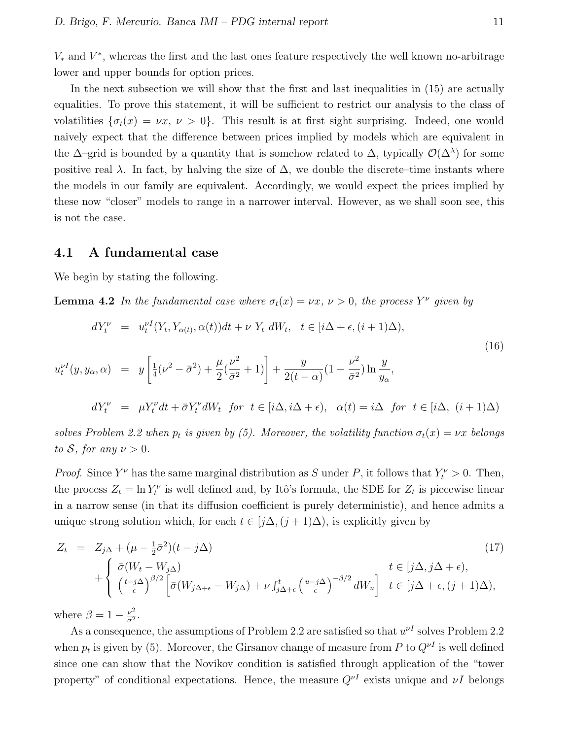$V_*$  and  $V^*$ , whereas the first and the last ones feature respectively the well known no-arbitrage lower and upper bounds for option prices.

In the next subsection we will show that the first and last inequalities in  $(15)$  are actually equalities. To prove this statement, it will be sufficient to restrict our analysis to the class of volatilities  $\{\sigma_t(x) = \nu x, \nu > 0\}$ . This result is at first sight surprising. Indeed, one would naively expect that the difference between prices implied by models which are equivalent in the  $\Delta$ –grid is bounded by a quantity that is somehow related to  $\Delta$ , typically  $\mathcal{O}(\Delta^{\lambda})$  for some positive real  $\lambda$ . In fact, by halving the size of  $\Delta$ , we double the discrete–time instants where the models in our family are equivalent. Accordingly, we would expect the prices implied by these now "closer" models to range in a narrower interval. However, as we shall soon see, this is not the case.

#### 4.1 A fundamental case

We begin by stating the following.

**Lemma 4.2** In the fundamental case where  $\sigma_t(x) = \nu x, \nu > 0$ , the process  $Y^{\nu}$  given by

$$
dY_t^{\nu} = u_t^{\nu I}(Y_t, Y_{\alpha(t)}, \alpha(t))dt + \nu Y_t dW_t, \quad t \in [i\Delta + \epsilon, (i+1)\Delta),
$$
  
\n
$$
u_t^{\nu I}(y, y_\alpha, \alpha) = y \left[ \frac{1}{4}(\nu^2 - \bar{\sigma}^2) + \frac{\mu}{2}(\frac{\nu^2}{\bar{\sigma}^2} + 1) \right] + \frac{y}{2(t-\alpha)}(1 - \frac{\nu^2}{\bar{\sigma}^2}) \ln \frac{y}{y_\alpha},
$$
  
\n
$$
dY_t^{\nu} = \mu Y_t^{\nu} dt + \bar{\sigma} Y_t^{\nu} dW_t \quad \text{for} \quad t \in [i\Delta, i\Delta + \epsilon), \quad \alpha(t) = i\Delta \quad \text{for} \quad t \in [i\Delta, (i+1)\Delta)
$$

solves Problem 2.2 when  $p_t$  is given by (5). Moreover, the volatility function  $\sigma_t(x) = \nu x$  belongs to S, for any  $\nu > 0$ .

*Proof.* Since  $Y^{\nu}$  has the same marginal distribution as S under P, it follows that  $Y^{\nu}$  > 0. Then, the process  $Z_t = \ln Y_t^{\nu}$  is well defined and, by Itô's formula, the SDE for  $Z_t$  is piecewise linear in a narrow sense (in that its diffusion coefficient is purely deterministic), and hence admits a unique strong solution which, for each  $t \in [j\Delta, (j+1)\Delta)$ , is explicitly given by

$$
Z_{t} = Z_{j\Delta} + (\mu - \frac{1}{2}\bar{\sigma}^{2})(t - j\Delta)
$$
\n
$$
+ \begin{cases} \bar{\sigma}(W_{t} - W_{j\Delta}) & t \in [j\Delta, j\Delta + \epsilon), \\ \left(\frac{t - j\Delta}{\epsilon}\right)^{\beta/2} \left[\bar{\sigma}(W_{j\Delta + \epsilon} - W_{j\Delta}) + \nu \int_{j\Delta + \epsilon}^{t} \left(\frac{u - j\Delta}{\epsilon}\right)^{-\beta/2} dW_{u}\right] & t \in [j\Delta + \epsilon, (j + 1)\Delta), \end{cases}
$$
\n
$$
(17)
$$

where  $\beta = 1 - \frac{\nu^2}{\bar{\sigma}^2}$  $rac{\nu^2}{\bar{\sigma}^2}$ .

As a consequence, the assumptions of Problem 2.2 are satisfied so that  $u^{\nu I}$  solves Problem 2.2 when  $p_t$  is given by (5). Moreover, the Girsanov change of measure from P to  $Q^{\nu I}$  is well defined since one can show that the Novikov condition is satisfied through application of the "tower property" of conditional expectations. Hence, the measure  $Q^{\nu}$  exists unique and  $\nu I$  belongs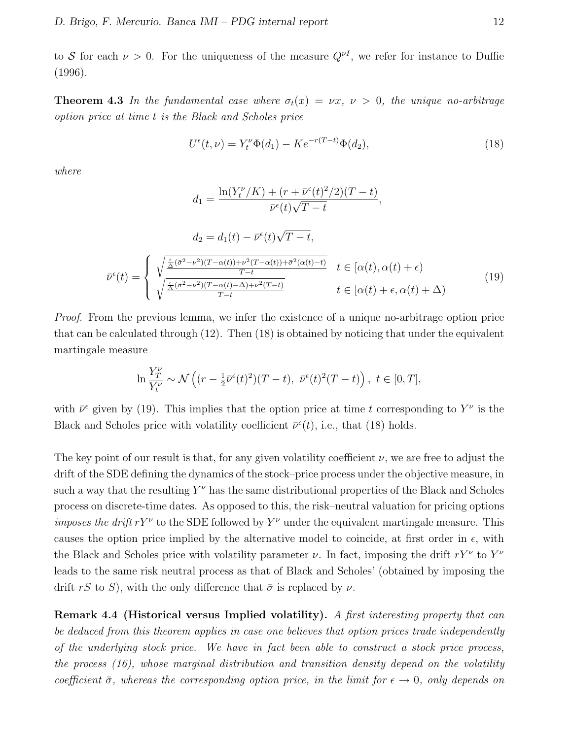to S for each  $\nu > 0$ . For the uniqueness of the measure  $Q^{\nu I}$ , we refer for instance to Duffie (1996).

**Theorem 4.3** In the fundamental case where  $\sigma_t(x) = \nu x$ ,  $\nu > 0$ , the unique no-arbitrage option price at time t is the Black and Scholes price

$$
U^{\epsilon}(t,\nu) = Y_t^{\nu} \Phi(d_1) - K e^{-r(T-t)} \Phi(d_2), \tag{18}
$$

where

$$
d_1 = \frac{\ln(Y_t^{\nu}/K) + (r + \bar{\nu}^{\epsilon}(t)^2/2)(T - t)}{\bar{\nu}^{\epsilon}(t)\sqrt{T - t}},
$$

$$
d_2 = d_1(t) - \bar{\nu}^{\epsilon}(t)\sqrt{T - t},
$$

$$
\bar{\nu}^{\epsilon}(t) = \begin{cases} \sqrt{\frac{\frac{\epsilon}{\Delta}(\bar{\sigma}^2 - \nu^2)(T - \alpha(t)) + \nu^2(T - \alpha(t)) + \bar{\sigma}^2(\alpha(t) - t)}{T - t}} & t \in [\alpha(t), \alpha(t) + \epsilon) \\ \sqrt{\frac{\frac{\epsilon}{\Delta}(\bar{\sigma}^2 - \nu^2)(T - \alpha(t) - \Delta) + \nu^2(T - t)}{T - t}} & t \in [\alpha(t) + \epsilon, \alpha(t) + \Delta) \end{cases}
$$
(19)

Proof. From the previous lemma, we infer the existence of a unique no-arbitrage option price that can be calculated through (12). Then (18) is obtained by noticing that under the equivalent martingale measure

$$
\ln \frac{Y_T^{\nu}}{Y_t^{\nu}} \sim \mathcal{N}\left((r - \frac{1}{2}\bar{\nu}^{\epsilon}(t)^2)(T - t), \ \bar{\nu}^{\epsilon}(t)^2(T - t)\right), \ t \in [0, T],
$$

with  $\bar{\nu}^{\epsilon}$  given by (19). This implies that the option price at time t corresponding to  $Y^{\nu}$  is the Black and Scholes price with volatility coefficient  $\bar{\nu}^{\epsilon}(t)$ , i.e., that (18) holds.

The key point of our result is that, for any given volatility coefficient  $\nu$ , we are free to adjust the drift of the SDE defining the dynamics of the stock–price process under the objective measure, in such a way that the resulting  $Y^{\nu}$  has the same distributional properties of the Black and Scholes process on discrete-time dates. As opposed to this, the risk–neutral valuation for pricing options *imposes the drift*  $rY^{\nu}$  to the SDE followed by  $Y^{\nu}$  under the equivalent martingale measure. This causes the option price implied by the alternative model to coincide, at first order in  $\epsilon$ , with the Black and Scholes price with volatility parameter  $\nu$ . In fact, imposing the drift  $rY^{\nu}$  to  $Y^{\nu}$ leads to the same risk neutral process as that of Black and Scholes' (obtained by imposing the drift rS to S), with the only difference that  $\bar{\sigma}$  is replaced by  $\nu$ .

Remark 4.4 (Historical versus Implied volatility). A first interesting property that can be deduced from this theorem applies in case one believes that option prices trade independently of the underlying stock price. We have in fact been able to construct a stock price process, the process  $(16)$ , whose marginal distribution and transition density depend on the volatility coefficient  $\bar{\sigma}$ , whereas the corresponding option price, in the limit for  $\epsilon \to 0$ , only depends on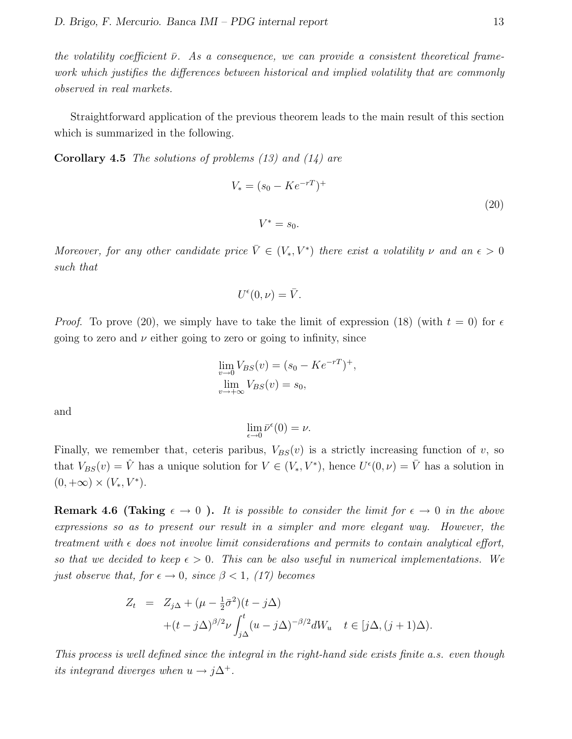the volatility coefficient  $\bar{\nu}$ . As a consequence, we can provide a consistent theoretical framework which justifies the differences between historical and implied volatility that are commonly observed in real markets.

Straightforward application of the previous theorem leads to the main result of this section which is summarized in the following.

**Corollary 4.5** The solutions of problems  $(13)$  and  $(14)$  are

$$
V_* = (s_0 - Ke^{-rT})^+
$$
  

$$
V^* = s_0.
$$
 (20)

Moreover, for any other candidate price  $\overline{V} \in (V_*, V^*)$  there exist a volatility  $\nu$  and an  $\epsilon > 0$ such that

$$
U^{\epsilon}(0,\nu)=\bar{V}.
$$

*Proof.* To prove (20), we simply have to take the limit of expression (18) (with  $t = 0$ ) for  $\epsilon$ going to zero and  $\nu$  either going to zero or going to infinity, since

$$
\lim_{v \to 0} V_{BS}(v) = (s_0 - Ke^{-rT})^+, \n\lim_{v \to +\infty} V_{BS}(v) = s_0,
$$

and

 $\lim_{\epsilon \to 0} \bar{\nu}^{\epsilon}(0) = \nu.$ 

Finally, we remember that, ceteris paribus,  $V_{BS}(v)$  is a strictly increasing function of v, so that  $V_{BS}(v) = \hat{V}$  has a unique solution for  $V \in (V_*, V^*)$ , hence  $U^{\epsilon}(0, \nu) = \bar{V}$  has a solution in  $(0, +\infty) \times (V_*, V^*).$ 

**Remark 4.6 (Taking**  $\epsilon \to 0$ ). It is possible to consider the limit for  $\epsilon \to 0$  in the above expressions so as to present our result in a simpler and more elegant way. However, the treatment with  $\epsilon$  does not involve limit considerations and permits to contain analytical effort, so that we decided to keep  $\epsilon > 0$ . This can be also useful in numerical implementations. We just observe that, for  $\epsilon \to 0$ , since  $\beta < 1$ , (17) becomes

$$
Z_t = Z_{j\Delta} + (\mu - \frac{1}{2}\bar{\sigma}^2)(t - j\Delta)
$$
  
+ 
$$
(t - j\Delta)^{\beta/2} \nu \int_{j\Delta}^t (u - j\Delta)^{-\beta/2} dW_u \quad t \in [j\Delta, (j+1)\Delta).
$$

This process is well defined since the integral in the right-hand side exists finite a.s. even though its integrand diverges when  $u \to j\Delta^+$ .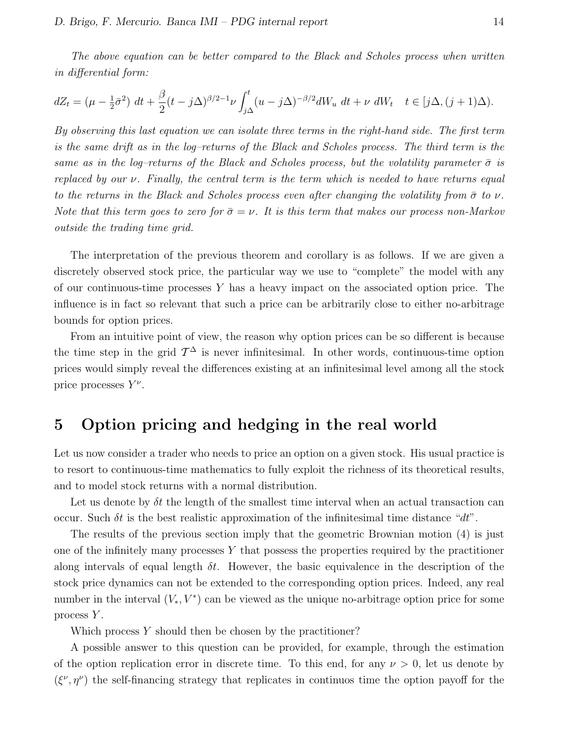The above equation can be better compared to the Black and Scholes process when written in differential form:

$$
dZ_t = \left(\mu - \frac{1}{2}\bar{\sigma}^2\right) dt + \frac{\beta}{2} (t - j\Delta)^{\beta/2 - 1} \nu \int_{j\Delta}^t (u - j\Delta)^{-\beta/2} dW_u \ dt + \nu \ dW_t \quad t \in [j\Delta, (j+1)\Delta).
$$

By observing this last equation we can isolate three terms in the right-hand side. The first term is the same drift as in the log–returns of the Black and Scholes process. The third term is the same as in the log–returns of the Black and Scholes process, but the volatility parameter  $\bar{\sigma}$  is replaced by our  $\nu$ . Finally, the central term is the term which is needed to have returns equal to the returns in the Black and Scholes process even after changing the volatility from  $\bar{\sigma}$  to  $\nu$ . Note that this term goes to zero for  $\bar{\sigma} = \nu$ . It is this term that makes our process non-Markov outside the trading time grid.

The interpretation of the previous theorem and corollary is as follows. If we are given a discretely observed stock price, the particular way we use to "complete" the model with any of our continuous-time processes  $Y$  has a heavy impact on the associated option price. The influence is in fact so relevant that such a price can be arbitrarily close to either no-arbitrage bounds for option prices.

From an intuitive point of view, the reason why option prices can be so different is because the time step in the grid  $\mathcal{T}^{\Delta}$  is never infinitesimal. In other words, continuous-time option prices would simply reveal the differences existing at an infinitesimal level among all the stock price processes  $Y^{\nu}$ .

### 5 Option pricing and hedging in the real world

Let us now consider a trader who needs to price an option on a given stock. His usual practice is to resort to continuous-time mathematics to fully exploit the richness of its theoretical results, and to model stock returns with a normal distribution.

Let us denote by  $\delta t$  the length of the smallest time interval when an actual transaction can occur. Such  $\delta t$  is the best realistic approximation of the infinitesimal time distance " $dt$ ".

The results of the previous section imply that the geometric Brownian motion (4) is just one of the infinitely many processes  $Y$  that possess the properties required by the practitioner along intervals of equal length  $\delta t$ . However, the basic equivalence in the description of the stock price dynamics can not be extended to the corresponding option prices. Indeed, any real number in the interval  $(V_*, V^*)$  can be viewed as the unique no-arbitrage option price for some process Y.

Which process Y should then be chosen by the practitioner?

A possible answer to this question can be provided, for example, through the estimation of the option replication error in discrete time. To this end, for any  $\nu > 0$ , let us denote by  $(\xi^{\nu}, \eta^{\nu})$  the self-financing strategy that replicates in continuos time the option payoff for the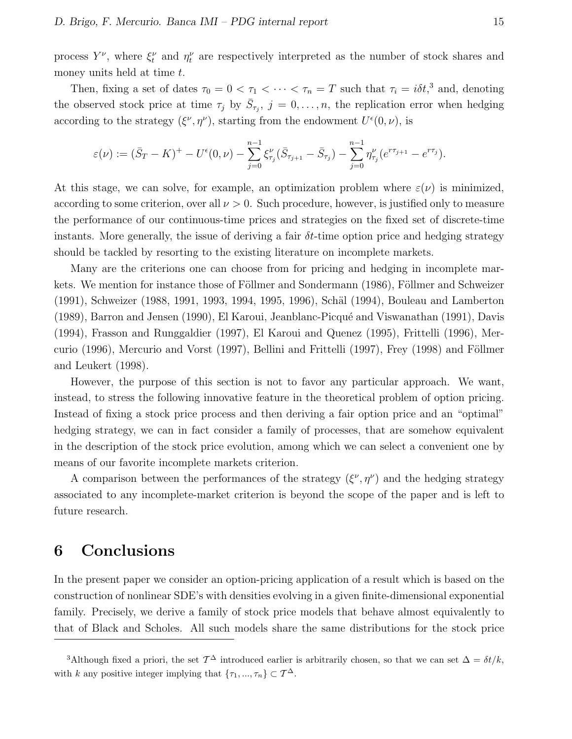process  $Y^{\nu}$ , where  $\xi_t^{\nu}$  and  $\eta_t^{\nu}$  are respectively interpreted as the number of stock shares and money units held at time  $t$ .

Then, fixing a set of dates  $\tau_0 = 0 < \tau_1 < \cdots < \tau_n = T$  such that  $\tau_i = i\delta t$ ,<sup>3</sup> and, denoting the observed stock price at time  $\tau_j$  by  $\bar{S}_{\tau_j}$ ,  $j=0,\ldots,n$ , the replication error when hedging according to the strategy  $(\xi^{\nu}, \eta^{\nu})$ , starting from the endowment  $U^{\epsilon}(0, \nu)$ , is

$$
\varepsilon(\nu) := (\bar{S}_T - K)^+ - U^{\epsilon}(0, \nu) - \sum_{j=0}^{n-1} \xi^{\nu}_{\tau_j} (\bar{S}_{\tau_{j+1}} - \bar{S}_{\tau_j}) - \sum_{j=0}^{n-1} \eta^{\nu}_{\tau_j} (e^{r\tau_{j+1}} - e^{r\tau_j}).
$$

At this stage, we can solve, for example, an optimization problem where  $\varepsilon(\nu)$  is minimized, according to some criterion, over all  $\nu > 0$ . Such procedure, however, is justified only to measure the performance of our continuous-time prices and strategies on the fixed set of discrete-time instants. More generally, the issue of deriving a fair  $\delta t$ -time option price and hedging strategy should be tackled by resorting to the existing literature on incomplete markets.

Many are the criterions one can choose from for pricing and hedging in incomplete markets. We mention for instance those of Föllmer and Sondermann (1986), Föllmer and Schweizer (1991), Schweizer (1988, 1991, 1993, 1994, 1995, 1996), Schäl (1994), Bouleau and Lamberton (1989), Barron and Jensen (1990), El Karoui, Jeanblanc-Picqu´e and Viswanathan (1991), Davis (1994), Frasson and Runggaldier (1997), El Karoui and Quenez (1995), Frittelli (1996), Mercurio (1996), Mercurio and Vorst (1997), Bellini and Frittelli (1997), Frey (1998) and Föllmer and Leukert (1998).

However, the purpose of this section is not to favor any particular approach. We want, instead, to stress the following innovative feature in the theoretical problem of option pricing. Instead of fixing a stock price process and then deriving a fair option price and an "optimal" hedging strategy, we can in fact consider a family of processes, that are somehow equivalent in the description of the stock price evolution, among which we can select a convenient one by means of our favorite incomplete markets criterion.

A comparison between the performances of the strategy  $(\xi^{\nu}, \eta^{\nu})$  and the hedging strategy associated to any incomplete-market criterion is beyond the scope of the paper and is left to future research.

### 6 Conclusions

In the present paper we consider an option-pricing application of a result which is based on the construction of nonlinear SDE's with densities evolving in a given finite-dimensional exponential family. Precisely, we derive a family of stock price models that behave almost equivalently to that of Black and Scholes. All such models share the same distributions for the stock price

<sup>&</sup>lt;sup>3</sup>Although fixed a priori, the set  $\mathcal{T}^{\Delta}$  introduced earlier is arbitrarily chosen, so that we can set  $\Delta = \delta t / k$ , with k any positive integer implying that  $\{\tau_1, ..., \tau_n\} \subset \mathcal{T}^{\Delta}$ .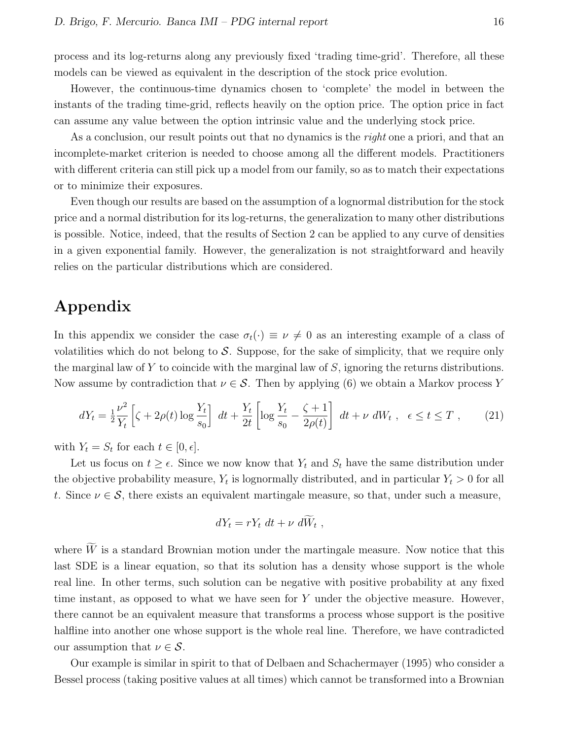process and its log-returns along any previously fixed 'trading time-grid'. Therefore, all these models can be viewed as equivalent in the description of the stock price evolution.

However, the continuous-time dynamics chosen to 'complete' the model in between the instants of the trading time-grid, reflects heavily on the option price. The option price in fact can assume any value between the option intrinsic value and the underlying stock price.

As a conclusion, our result points out that no dynamics is the *right* one a priori, and that an incomplete-market criterion is needed to choose among all the different models. Practitioners with different criteria can still pick up a model from our family, so as to match their expectations or to minimize their exposures.

Even though our results are based on the assumption of a lognormal distribution for the stock price and a normal distribution for its log-returns, the generalization to many other distributions is possible. Notice, indeed, that the results of Section 2 can be applied to any curve of densities in a given exponential family. However, the generalization is not straightforward and heavily relies on the particular distributions which are considered.

### Appendix

In this appendix we consider the case  $\sigma_t(\cdot) \equiv \nu \neq 0$  as an interesting example of a class of volatilities which do not belong to  $\mathcal S$ . Suppose, for the sake of simplicity, that we require only the marginal law of Y to coincide with the marginal law of  $S$ , ignoring the returns distributions. Now assume by contradiction that  $\nu \in \mathcal{S}$ . Then by applying (6) we obtain a Markov process Y

$$
dY_t = \frac{1}{2} \frac{\nu^2}{Y_t} \left[ \zeta + 2\rho(t) \log \frac{Y_t}{s_0} \right] dt + \frac{Y_t}{2t} \left[ \log \frac{Y_t}{s_0} - \frac{\zeta + 1}{2\rho(t)} \right] dt + \nu \, dW_t \;, \; \epsilon \le t \le T \;, \tag{21}
$$

with  $Y_t = S_t$  for each  $t \in [0, \epsilon]$ .

Let us focus on  $t \geq \epsilon$ . Since we now know that  $Y_t$  and  $S_t$  have the same distribution under the objective probability measure,  $Y_t$  is lognormally distributed, and in particular  $Y_t > 0$  for all t. Since  $\nu \in \mathcal{S}$ , there exists an equivalent martingale measure, so that, under such a measure,

$$
dY_t = rY_t dt + \nu d\tilde{W}_t,
$$

where  $\widetilde{W}$  is a standard Brownian motion under the martingale measure. Now notice that this last SDE is a linear equation, so that its solution has a density whose support is the whole real line. In other terms, such solution can be negative with positive probability at any fixed time instant, as opposed to what we have seen for Y under the objective measure. However, there cannot be an equivalent measure that transforms a process whose support is the positive halfline into another one whose support is the whole real line. Therefore, we have contradicted our assumption that  $\nu \in \mathcal{S}$ .

Our example is similar in spirit to that of Delbaen and Schachermayer (1995) who consider a Bessel process (taking positive values at all times) which cannot be transformed into a Brownian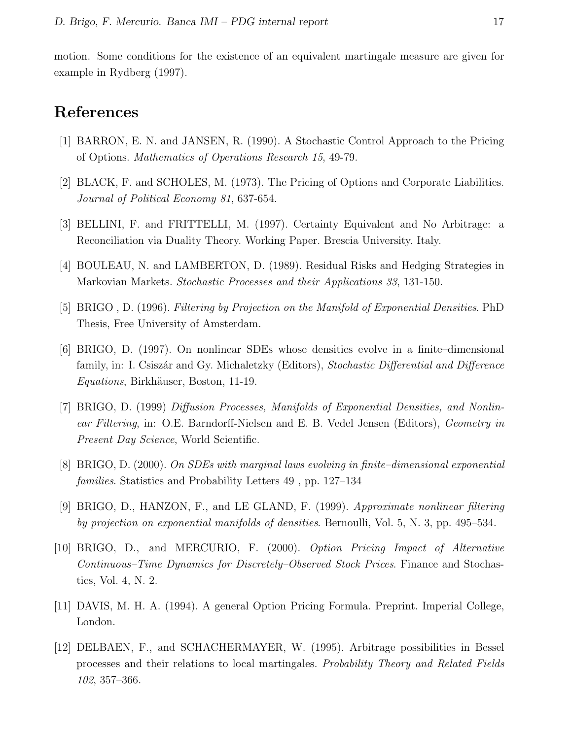motion. Some conditions for the existence of an equivalent martingale measure are given for example in Rydberg (1997).

### References

- [1] BARRON, E. N. and JANSEN, R. (1990). A Stochastic Control Approach to the Pricing of Options. Mathematics of Operations Research 15, 49-79.
- [2] BLACK, F. and SCHOLES, M. (1973). The Pricing of Options and Corporate Liabilities. Journal of Political Economy 81, 637-654.
- [3] BELLINI, F. and FRITTELLI, M. (1997). Certainty Equivalent and No Arbitrage: a Reconciliation via Duality Theory. Working Paper. Brescia University. Italy.
- [4] BOULEAU, N. and LAMBERTON, D. (1989). Residual Risks and Hedging Strategies in Markovian Markets. Stochastic Processes and their Applications 33, 131-150.
- [5] BRIGO , D. (1996). Filtering by Projection on the Manifold of Exponential Densities. PhD Thesis, Free University of Amsterdam.
- [6] BRIGO, D. (1997). On nonlinear SDEs whose densities evolve in a finite–dimensional family, in: I. Csiszár and Gy. Michaletzky (Editors), Stochastic Differential and Difference Equations, Birkhäuser, Boston, 11-19.
- [7] BRIGO, D. (1999) Diffusion Processes, Manifolds of Exponential Densities, and Nonlinear Filtering, in: O.E. Barndorff-Nielsen and E. B. Vedel Jensen (Editors), Geometry in Present Day Science, World Scientific.
- [8] BRIGO, D. (2000). On SDEs with marginal laws evolving in finite–dimensional exponential families. Statistics and Probability Letters 49 , pp. 127–134
- [9] BRIGO, D., HANZON, F., and LE GLAND, F. (1999). Approximate nonlinear filtering by projection on exponential manifolds of densities. Bernoulli, Vol. 5, N. 3, pp. 495–534.
- [10] BRIGO, D., and MERCURIO, F. (2000). Option Pricing Impact of Alternative Continuous–Time Dynamics for Discretely–Observed Stock Prices. Finance and Stochastics, Vol. 4, N. 2.
- [11] DAVIS, M. H. A. (1994). A general Option Pricing Formula. Preprint. Imperial College, London.
- [12] DELBAEN, F., and SCHACHERMAYER, W. (1995). Arbitrage possibilities in Bessel processes and their relations to local martingales. Probability Theory and Related Fields 102, 357–366.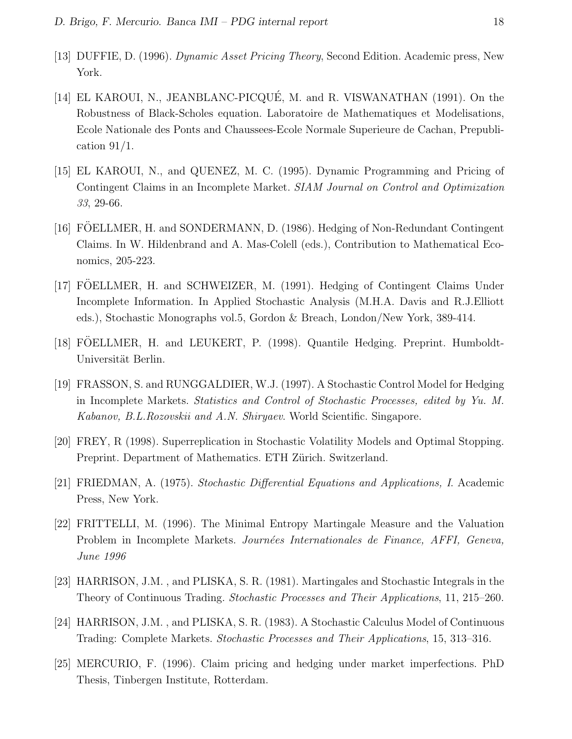- [13] DUFFIE, D. (1996). Dynamic Asset Pricing Theory, Second Edition. Academic press, New York.
- [14] EL KAROUI, N., JEANBLANC-PICQUÉ, M. and R. VISWANATHAN (1991). On the Robustness of Black-Scholes equation. Laboratoire de Mathematiques et Modelisations, Ecole Nationale des Ponts and Chaussees-Ecole Normale Superieure de Cachan, Prepublication  $91/1$ .
- [15] EL KAROUI, N., and QUENEZ, M. C. (1995). Dynamic Programming and Pricing of Contingent Claims in an Incomplete Market. SIAM Journal on Control and Optimization 33, 29-66.
- [16] FÖELLMER, H. and SONDERMANN, D. (1986). Hedging of Non-Redundant Contingent Claims. In W. Hildenbrand and A. Mas-Colell (eds.), Contribution to Mathematical Economics, 205-223.
- [17] FÖELLMER, H. and SCHWEIZER, M. (1991). Hedging of Contingent Claims Under Incomplete Information. In Applied Stochastic Analysis (M.H.A. Davis and R.J.Elliott eds.), Stochastic Monographs vol.5, Gordon & Breach, London/New York, 389-414.
- [18] FOELLMER, H. and LEUKERT, P. (1998). Quantile Hedging. Preprint. Humboldt- ¨ Universität Berlin.
- [19] FRASSON, S. and RUNGGALDIER, W.J. (1997). A Stochastic Control Model for Hedging in Incomplete Markets. Statistics and Control of Stochastic Processes, edited by Yu. M. Kabanov, B.L.Rozovskii and A.N. Shiryaev. World Scientific. Singapore.
- [20] FREY, R (1998). Superreplication in Stochastic Volatility Models and Optimal Stopping. Preprint. Department of Mathematics. ETH Zürich. Switzerland.
- [21] FRIEDMAN, A. (1975). Stochastic Differential Equations and Applications, I. Academic Press, New York.
- [22] FRITTELLI, M. (1996). The Minimal Entropy Martingale Measure and the Valuation Problem in Incomplete Markets. Journées Internationales de Finance, AFFI, Geneva, June 1996
- [23] HARRISON, J.M. , and PLISKA, S. R. (1981). Martingales and Stochastic Integrals in the Theory of Continuous Trading. Stochastic Processes and Their Applications, 11, 215–260.
- [24] HARRISON, J.M. , and PLISKA, S. R. (1983). A Stochastic Calculus Model of Continuous Trading: Complete Markets. Stochastic Processes and Their Applications, 15, 313–316.
- [25] MERCURIO, F. (1996). Claim pricing and hedging under market imperfections. PhD Thesis, Tinbergen Institute, Rotterdam.